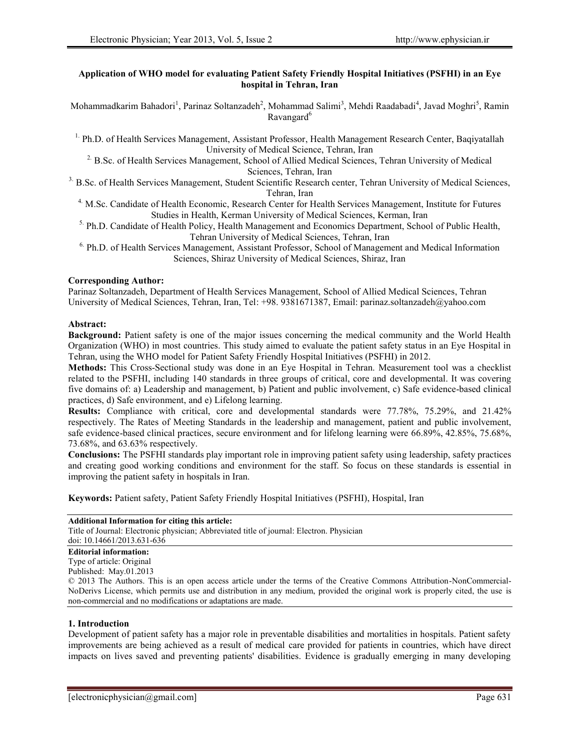# **Application of WHO model for evaluating Patient Safety Friendly Hospital Initiatives (PSFHI) in an Eye hospital in Tehran, Iran**

Mohammadkarim Bahadori<sup>1</sup>, Parinaz Soltanzadeh<sup>2</sup>, Mohammad Salimi<sup>3</sup>, Mehdi Raadabadi<sup>4</sup>, Javad Moghri<sup>5</sup>, Ramin Ravangard<sup>6</sup>

<sup>1.</sup> Ph.D. of Health Services Management, Assistant Professor, Health Management Research Center, Baqiyatallah University of Medical Science, Tehran, Iran

<sup>2</sup> B.Sc. of Health Services Management, School of Allied Medical Sciences, Tehran University of Medical Sciences, Tehran, Iran

<sup>3</sup>. B.Sc. of Health Services Management, Student Scientific Research center, Tehran University of Medical Sciences, Tehran, Iran

<sup>4.</sup> M.Sc. Candidate of Health Economic, Research Center for Health Services Management, Institute for Futures Studies in Health, Kerman University of Medical Sciences, Kerman, Iran

<sup>5.</sup> Ph.D. Candidate of Health Policy, Health Management and Economics Department, School of Public Health, Tehran University of Medical Sciences, Tehran, Iran

<sup>6.</sup> Ph.D. of Health Services Management, Assistant Professor, School of Management and Medical Information Sciences, Shiraz University of Medical Sciences, Shiraz, Iran

## **Corresponding Author:**

Parinaz Soltanzadeh, Department of Health Services Management, School of Allied Medical Sciences, Tehran University of Medical Sciences, Tehran, Iran, Tel: +98. 9381671387, Email: parinaz.soltanzadeh@yahoo.com

#### **Abstract:**

**Background:** Patient safety is one of the major issues concerning the medical community and the World Health Organization (WHO) in most countries. This study aimed to evaluate the patient safety status in an Eye Hospital in Tehran, using the WHO model for Patient Safety Friendly Hospital Initiatives (PSFHI) in 2012.

**Methods:** This Cross-Sectional study was done in an Eye Hospital in Tehran. Measurement tool was a checklist related to the PSFHI, including 140 standards in three groups of critical, core and developmental. It was covering five domains of: a) Leadership and management, b) Patient and public involvement, c) Safe evidence-based clinical practices, d) Safe environment, and e) Lifelong learning.

**Results:** Compliance with critical, core and developmental standards were 77.78%, 75.29%, and 21.42% respectively. The Rates of Meeting Standards in the leadership and management, patient and public involvement, safe evidence-based clinical practices, secure environment and for lifelong learning were 66.89%, 42.85%, 75.68%, 73.68%, and 63.63% respectively.

**Conclusions:** The PSFHI standards play important role in improving patient safety using leadership, safety practices and creating good working conditions and environment for the staff. So focus on these standards is essential in improving the patient safety in hospitals in Iran.

**Keywords:** Patient safety, Patient Safety Friendly Hospital Initiatives (PSFHI), Hospital, Iran

### **Additional Information for citing this article:**

Title of Journal: Electronic physician; Abbreviated title of journal: Electron. Physician doi: 10.14661/2013.631-636

# **Editorial information:**

Type of article: Original

Published: May.01.2013

© 2013 The Authors. This is an open access article under the terms of the Creative Commons Attribution-NonCommercial- NoDerivs License, which permits use and distribution in any medium, provided the original work is properly cited, the use is non-commercial and no modifications or adaptations are made.

### **1. Introduction**

Development of patient safety has a major role in preventable disabilities and mortalities in hospitals. Patient safety improvements are being achieved as a result of medical care provided for patients in countries, which have direct impacts on lives saved and preventing patients' disabilities. Evidence is gradually emerging in many developing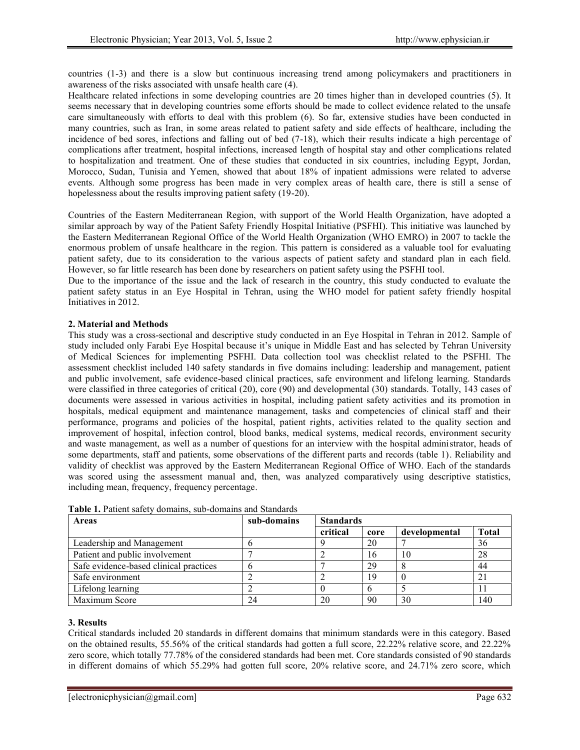countries (1-3) and there is a slow but continuous increasing trend among policymakers and practitioners in awareness of the risks associated with unsafe health care (4).

Healthcare related infections in some developing countries are 20 times higher than in developed countries (5). It seems necessary that in developing countries some efforts should be made to collect evidence related to the unsafe care simultaneously with efforts to deal with this problem (6). So far, extensive studies have been conducted in many countries, such as Iran, in some areas related to patient safety and side effects of healthcare, including the incidence of bed sores, infections and falling out of bed (7-18), which their results indicate a high percentage of complications after treatment, hospital infections, increased length of hospital stay and other complications related to hospitalization and treatment. One of these studies that conducted in six countries, including Egypt, Jordan, Morocco, Sudan, Tunisia and Yemen, showed that about 18% of inpatient admissions were related to adverse events. Although some progress has been made in very complex areas of health care, there is still a sense of hopelessness about the results improving patient safety (19-20).

Countries of the Eastern Mediterranean Region, with support of the World Health Organization, have adopted a similar approach by way of the Patient Safety Friendly Hospital Initiative (PSFHI). This initiative was launched by the Eastern Mediterranean Regional Office of the World Health Organization (WHO EMRO) in 2007 to tackle the enormous problem of unsafe healthcare in the region. This pattern is considered as a valuable tool for evaluating patient safety, due to its consideration to the various aspects of patient safety and standard plan in each field. However, so far little research has been done by researchers on patient safety using the PSFHI tool.

Due to the importance of the issue and the lack of research in the country, this study conducted to evaluate the patient safety status in an Eye Hospital in Tehran, using the WHO model for patient safety friendly hospital Initiatives in 2012.

# **2. Material and Methods**

This study was a cross-sectional and descriptive study conducted in an Eye Hospital in Tehran in 2012. Sample of study included only Farabi Eye Hospital because it's unique in Middle East and has selected by Tehran University of Medical Sciences for implementing PSFHI. Data collection tool was checklist related to the PSFHI. The assessment checklist included 140 safety standards in five domains including: leadership and management, patient and public involvement, safe evidence-based clinical practices, safe environment and lifelong learning. Standards were classified in three categories of critical (20), core (90) and developmental (30) standards. Totally, 143 cases of documents were assessed in various activities in hospital, including patient safety activities and its promotion in hospitals, medical equipment and maintenance management, tasks and competencies of clinical staff and their performance, programs and policies of the hospital, patient rights, activities related to the quality section and improvement of hospital, infection control, blood banks, medical systems, medical records, environment security and waste management, as well as a number of questions for an interview with the hospital administrator, heads of some departments, staff and patients, some observations of the different parts and records (table 1). Reliability and validity of checklist was approved by the Eastern Mediterranean Regional Office of WHO. Each of the standards was scored using the assessment manual and, then, was analyzed comparatively using descriptive statistics, including mean, frequency, frequency percentage.

| <b>Areas</b>                           | sub-domains | <b>Standards</b> |      |               |              |
|----------------------------------------|-------------|------------------|------|---------------|--------------|
|                                        |             | critical         | core | developmental | <b>Total</b> |
| Leadership and Management              |             |                  | 20   |               | 36           |
| Patient and public involvement         |             |                  | 16   | 10            | 28           |
| Safe evidence-based clinical practices |             |                  | 29   |               | 44           |
| Safe environment                       |             |                  |      |               | 21           |
| Lifelong learning                      |             |                  | O    |               |              |
| Maximum Score                          | 24          | 20               | 90   | 30            | 140          |

**Table 1.** Patient safety domains, sub-domains and Standards

### **3. Results**

Critical standards included 20 standards in different domains that minimum standards were in this category. Based on the obtained results, 55.56% of the critical standards had gotten a full score, 22.22% relative score, and 22.22% zero score, which totally 77.78% of the considered standards had been met. Core standards consisted of 90 standards in different domains of which 55.29% had gotten full score, 20% relative score, and 24.71% zero score, which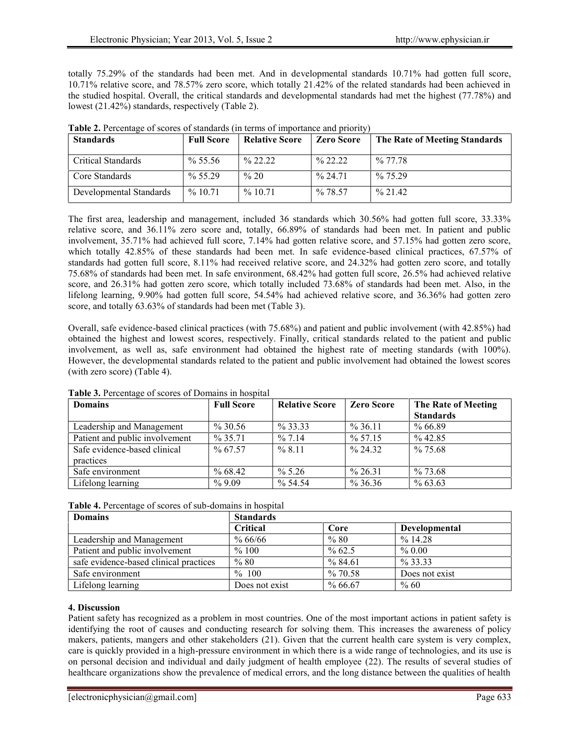totally 75.29% of the standards had been met. And in developmental standards 10.71% had gotten full score, 10.71% relative score, and 78.57% zero score, which totally 21.42% of the related standards had been achieved in the studied hospital. Overall, the critical standards and developmental standards had met the highest (77.78%) and lowest (21.42%) standards, respectively (Table 2).

| <b>Standards</b>        | <b>Full Score</b> | <b>Relative Score</b> | <b>Zero Score</b> | The Rate of Meeting Standards |
|-------------------------|-------------------|-----------------------|-------------------|-------------------------------|
| Critical Standards      | $\%$ 55.56        | $\%$ 22.22            | $\%$ 22.22        | $\%$ 77.78                    |
| Core Standards          | $\%$ 55.29        | $\% 20$               | $\%$ 24.71        | $\%$ 75.29                    |
| Developmental Standards | $\%$ 10.71        | $\%$ 10.71            | $\%$ 78.57        | $\%$ 21.42                    |

**Table 2.** Percentage of scores of standards (in terms of importance and priority)

The first area, leadership and management, included 36 standards which 30.56% had gotten full score, 33.33% relative score, and 36.11% zero score and, totally, 66.89% of standards had been met. In patient and public involvement, 35.71% had achieved full score, 7.14% had gotten relative score, and 57.15% had gotten zero score, which totally 42.85% of these standards had been met. In safe evidence-based clinical practices, 67.57% of standards had gotten full score, 8.11% had received relative score, and 24.32% had gotten zero score, and totally 75.68% of standards had been met. In safe environment, 68.42% had gotten full score, 26.5% had achieved relative score, and 26.31% had gotten zero score, which totally included 73.68% of standards had been met. Also, in the lifelong learning, 9.90% had gotten full score, 54.54% had achieved relative score, and 36.36% had gotten zero score, and totally 63.63% of standards had been met (Table 3).

Overall, safe evidence-based clinical practices (with 75.68%) and patient and public involvement (with 42.85%) had obtained the highest and lowest scores, respectively. Finally, critical standards related to the patient and public involvement, as well as, safe environment had obtained the highest rate of meeting standards (with 100%). However, the developmental standards related to the patient and public involvement had obtained the lowest scores (with zero score) (Table 4).

| <b>Domains</b>                 | <b>Full Score</b> | <b>Relative Score</b> | <b>Zero Score</b>   | The Rate of Meeting |
|--------------------------------|-------------------|-----------------------|---------------------|---------------------|
|                                |                   |                       |                     | <b>Standards</b>    |
| Leadership and Management      | $\% 30.56$        | $\%$ 33.33            | $\%36.11$           | %66.89              |
| Patient and public involvement | $\%$ 35.71        | $\frac{9}{6}$ 7.14    | $\%$ 57.15          | $\%$ 42.85          |
| Safe evidence-based clinical   | $\%$ 67.57        | $\frac{9}{6}$ 8 11    | $\frac{9}{6}$ 24.32 | $\%$ 75.68          |
| practices                      |                   |                       |                     |                     |
| Safe environment               | $\%$ 68.42        | $\% 5.26$             | $\%$ 26.31          | $\%$ 73.68          |
| Lifelong learning              | $\%9.09$          | $\%$ 54.54            | $\%36.36$           | $\%$ 63.63          |

**Table 3.** Percentage of scores of Domains in hospital

| Table 4. Percentage of scores of sub-domains in hospital |  |  |  |
|----------------------------------------------------------|--|--|--|
|                                                          |  |  |  |

| <b>Domains</b>                         | <b>Standards</b> |           |                      |  |  |
|----------------------------------------|------------------|-----------|----------------------|--|--|
|                                        | <b>Critical</b>  | Core      | <b>Developmental</b> |  |  |
| Leadership and Management              | $\%66/66$        | %80       | $\%$ 14.28           |  |  |
| Patient and public involvement         | $\%$ 100         | $\%$ 62.5 | $\%$ 0.00            |  |  |
| safe evidence-based clinical practices | %80              | $\%84.61$ | $\%$ 33.33           |  |  |
| Safe environment                       | $\%$ 100         | %70.58    | Does not exist       |  |  |
| Lifelong learning                      | Does not exist   | $\%66.67$ | $\%$ 60              |  |  |

### **4. Discussion**

Patient safety has recognized as a problem in most countries. One of the most important actions in patient safety is identifying the root of causes and conducting research for solving them. This increases the awareness of policy makers, patients, mangers and other stakeholders (21). Given that the current health care system is very complex, care is quickly provided in a high-pressure environment in which there is a wide range of technologies, and its use is on personal decision and individual and daily judgment of health employee (22). The results of several studies of healthcare organizations show the prevalence of medical errors, and the long distance between the qualities of health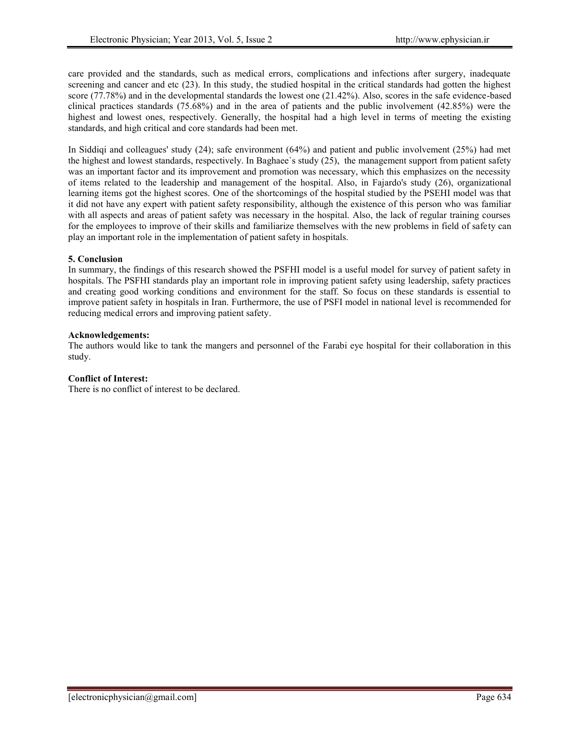care provided and the standards, such as medical errors, complications and infections after surgery, inadequate screening and cancer and etc (23). In this study, the studied hospital in the critical standards had gotten the highest score (77.78%) and in the developmental standards the lowest one (21.42%). Also, scores in the safe evidence-based clinical practices standards (75.68%) and in the area of patients and the public involvement (42.85%) were the highest and lowest ones, respectively. Generally, the hospital had a high level in terms of meeting the existing standards, and high critical and core standards had been met.

In Siddiqi and colleagues' study (24); safe environment (64%) and patient and public involvement (25%) had met the highest and lowest standards, respectively. In Baghaee`s study (25), the management support from patient safety was an important factor and its improvement and promotion was necessary, which this emphasizes on the necessity of items related to the leadership and management of the hospital. Also, in Fajardo's study (26), organizational learning items got the highest scores. One of the shortcomings of the hospital studied by the PSEHI model was that it did not have any expert with patient safety responsibility, although the existence of this person who was familiar with all aspects and areas of patient safety was necessary in the hospital. Also, the lack of regular training courses for the employees to improve of their skills and familiarize themselves with the new problems in field of safety can play an important role in the implementation of patient safety in hospitals.

# **5. Conclusion**

In summary, the findings of this research showed the PSFHI model is a useful model for survey of patient safety in hospitals. The PSFHI standards play an important role in improving patient safety using leadership, safety practices and creating good working conditions and environment for the staff. So focus on these standards is essential to improve patient safety in hospitals in Iran. Furthermore, the use of PSFI model in national level is recommended for reducing medical errors and improving patient safety.

### **Acknowledgements:**

The authors would like to tank the mangers and personnel of the Farabi eye hospital for their collaboration in this study.

## **Conflict of Interest:**

There is no conflict of interest to be declared.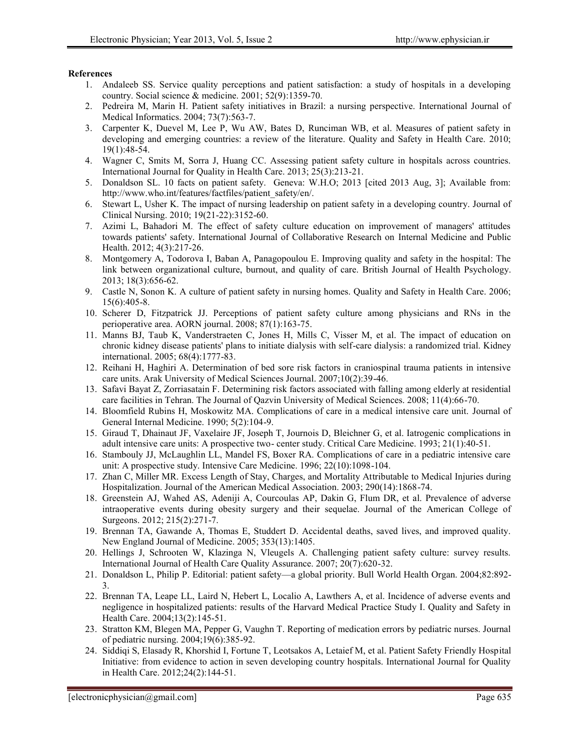#### **References**

- 1. Andaleeb SS. Service quality perceptions and patient satisfaction: a study of hospitals in a developing country. Social science & medicine. 2001; 52(9):1359-70.
- 2. Pedreira M, Marin H. Patient safety initiatives in Brazil: a nursing perspective. International Journal of Medical Informatics. 2004; 73(7):563-7.
- 3. Carpenter K, Duevel M, Lee P, Wu AW, Bates D, Runciman WB, et al. Measures of patient safety in developing and emerging countries: a review of the literature. Quality and Safety in Health Care. 2010; 19(1):48-54.
- 4. Wagner C, Smits M, Sorra J, Huang CC. Assessing patient safety culture in hospitals across countries. International Journal for Quality in Health Care. 2013; 25(3):213-21.
- 5. Donaldson SL. 10 facts on patient safety. Geneva: W.H.O; 2013 [cited 2013 Aug, 3]; Available from: http://www.who.int/features/factfiles/patient\_safety/en/.
- 6. Stewart L, Usher K. The impact of nursing leadership on patient safety in a developing country. Journal of Clinical Nursing. 2010; 19(21-22):3152-60.
- 7. Azimi L, Bahadori M. The effect of safety culture education on improvement of managers' attitudes towards patients' safety. International Journal of Collaborative Research on Internal Medicine and Public Health. 2012; 4(3):217-26.
- 8. Montgomery A, Todorova I, Baban A, Panagopoulou E. Improving quality and safety in the hospital: The link between organizational culture, burnout, and quality of care. British Journal of Health Psychology. 2013; 18(3):656-62.
- 9. Castle N, Sonon K. A culture of patient safety in nursing homes. Quality and Safety in Health Care. 2006; 15(6):405-8.
- 10. Scherer D, Fitzpatrick JJ. Perceptions of patient safety culture among physicians and RNs in the perioperative area. AORN journal. 2008; 87(1):163-75.
- 11. Manns BJ, Taub K, Vanderstraeten C, Jones H, Mills C, Visser M, et al. The impact of education on chronic kidney disease patients' plans to initiate dialysis with self-care dialysis: a randomized trial. Kidney international. 2005; 68(4):1777-83.
- 12. Reihani H, Haghiri A. Determination of bed sore risk factors in craniospinal trauma patients in intensive care units. Arak University of Medical Sciences Journal. 2007;10(2):39-46.
- 13. Safavi Bayat Z, Zorriasatain F. Determining risk factors associated with falling among elderly at residential care facilities in Tehran. The Journal of Qazvin University of Medical Sciences. 2008; 11(4):66-70.
- 14. Bloomfield Rubins H, Moskowitz MA. Complications of care in a medical intensive care unit. Journal of General Internal Medicine. 1990; 5(2):104-9.
- 15. Giraud T, Dhainaut JF, Vaxelaire JF, Joseph T, Journois D, Bleichner G, et al. Iatrogenic complications in adult intensive care units: A prospective two- center study. Critical Care Medicine. 1993; 21(1):40-51.
- 16. Stambouly JJ, McLaughlin LL, Mandel FS, Boxer RA. Complications of care in a pediatric intensive care unit: A prospective study. Intensive Care Medicine. 1996; 22(10):1098-104.
- 17. Zhan C, Miller MR. Excess Length of Stay, Charges, and Mortality Attributable to Medical Injuries during Hospitalization. Journal of the American Medical Association. 2003; 290(14):1868-74.
- 18. Greenstein AJ, Wahed AS, Adeniji A, Courcoulas AP, Dakin G, Flum DR, et al. Prevalence of adverse intraoperative events during obesity surgery and their sequelae. Journal of the American College of Surgeons. 2012; 215(2):271-7.
- 19. Brennan TA, Gawande A, Thomas E, Studdert D. Accidental deaths, saved lives, and improved quality. New England Journal of Medicine. 2005; 353(13):1405.
- 20. Hellings J, Schrooten W, Klazinga N, Vleugels A. Challenging patient safety culture: survey results. International Journal of Health Care Quality Assurance. 2007; 20(7):620-32.
- 21. Donaldson L, Philip P. Editorial: patient safety—a global priority. Bull World Health Organ. 2004;82:892- 3.
- 22. Brennan TA, Leape LL, Laird N, Hebert L, Localio A, Lawthers A, et al. Incidence of adverse events and negligence in hospitalized patients: results of the Harvard Medical Practice Study I. Quality and Safety in Health Care. 2004;13(2):145-51.
- 23. Stratton KM, Blegen MA, Pepper G, Vaughn T. Reporting of medication errors by pediatric nurses. Journal of pediatric nursing. 2004;19(6):385-92.
- 24. Siddiqi S, Elasady R, Khorshid I, Fortune T, Leotsakos A, Letaief M, et al. Patient Safety Friendly Hospital Initiative: from evidence to action in seven developing country hospitals. International Journal for Quality in Health Care. 2012;24(2):144-51.